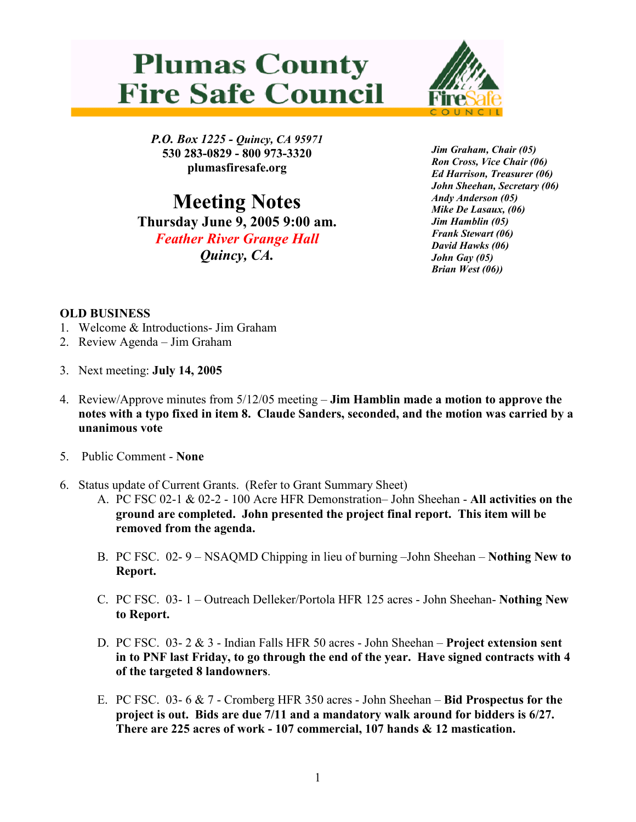## **Plumas County Fire Safe Council**



P.O. Box 1225 - Quincy, CA 95971 530 283-0829 - 800 973-3320 plumasfiresafe.org

Meeting Notes Thursday June 9, 2005 9:00 am. Feather River Grange Hall Quincy, CA.

Jim Graham, Chair (05) Ron Cross, Vice Chair (06) Ed Harrison, Treasurer (06) John Sheehan, Secretary (06) Andy Anderson (05) Mike De Lasaux, (06) Jim Hamblin (05) Frank Stewart (06) David Hawks (06) John Gay (05) Brian West (06))

## OLD BUSINESS

- 1. Welcome & Introductions- Jim Graham
- 2. Review Agenda Jim Graham
- 3. Next meeting: July 14, 2005
- 4. Review/Approve minutes from 5/12/05 meeting Jim Hamblin made a motion to approve the notes with a typo fixed in item 8. Claude Sanders, seconded, and the motion was carried by a unanimous vote
- 5. Public Comment None
- 6. Status update of Current Grants. (Refer to Grant Summary Sheet)
	- A. PC FSC 02-1 & 02-2 100 Acre HFR Demonstration– John Sheehan All activities on the ground are completed. John presented the project final report. This item will be removed from the agenda.
	- B. PC FSC. 02- 9 NSAQMD Chipping in lieu of burning –John Sheehan Nothing New to Report.
	- C. PC FSC. 03- 1 Outreach Delleker/Portola HFR 125 acres John Sheehan- Nothing New to Report.
	- D. PC FSC. 03- 2 & 3 Indian Falls HFR 50 acres John Sheehan Project extension sent in to PNF last Friday, to go through the end of the year. Have signed contracts with 4 of the targeted 8 landowners.
	- E. PC FSC. 03- 6 & 7 Cromberg HFR 350 acres John Sheehan Bid Prospectus for the project is out. Bids are due 7/11 and a mandatory walk around for bidders is 6/27. There are 225 acres of work - 107 commercial, 107 hands & 12 mastication.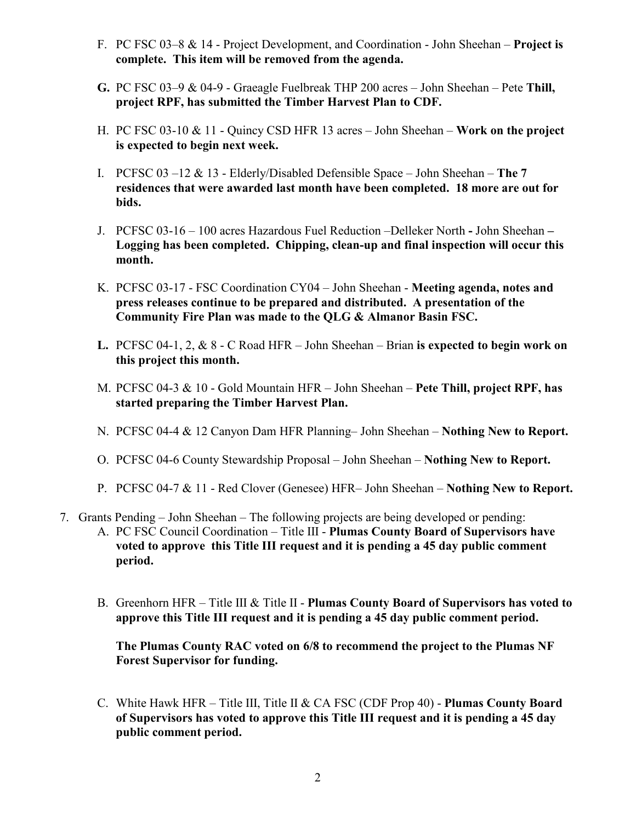- F. PC FSC 03–8 & 14 Project Development, and Coordination John Sheehan Project is complete. This item will be removed from the agenda.
- G. PC FSC 03–9 & 04-9 Graeagle Fuelbreak THP 200 acres John Sheehan Pete Thill, project RPF, has submitted the Timber Harvest Plan to CDF.
- H. PC FSC 03-10 & 11 Quincy CSD HFR 13 acres John Sheehan Work on the project is expected to begin next week.
- I. PCFSC 03 –12  $& 13$  Elderly/Disabled Defensible Space John Sheehan The 7 residences that were awarded last month have been completed. 18 more are out for bids.
- J. PCFSC 03-16 100 acres Hazardous Fuel Reduction –Delleker North John Sheehan Logging has been completed. Chipping, clean-up and final inspection will occur this month.
- K. PCFSC 03-17 FSC Coordination CY04 John Sheehan Meeting agenda, notes and press releases continue to be prepared and distributed. A presentation of the Community Fire Plan was made to the QLG & Almanor Basin FSC.
- L. PCFSC 04-1, 2,  $\&$  8 C Road HFR John Sheehan Brian is expected to begin work on this project this month.
- M. PCFSC 04-3 & 10 Gold Mountain HFR John Sheehan Pete Thill, project RPF, has started preparing the Timber Harvest Plan.
- N. PCFSC 04-4 & 12 Canyon Dam HFR Planning– John Sheehan Nothing New to Report.
- O. PCFSC 04-6 County Stewardship Proposal John Sheehan Nothing New to Report.
- P. PCFSC 04-7 & 11 Red Clover (Genesee) HFR– John Sheehan Nothing New to Report.
- 7. Grants Pending John Sheehan The following projects are being developed or pending:
	- A. PC FSC Council Coordination Title III Plumas County Board of Supervisors have voted to approve this Title III request and it is pending a 45 day public comment period.
	- B. Greenhorn HFR Title III & Title II Plumas County Board of Supervisors has voted to approve this Title III request and it is pending a 45 day public comment period.

The Plumas County RAC voted on 6/8 to recommend the project to the Plumas NF Forest Supervisor for funding.

C. White Hawk HFR – Title III, Title II & CA FSC (CDF Prop 40) - Plumas County Board of Supervisors has voted to approve this Title III request and it is pending a 45 day public comment period.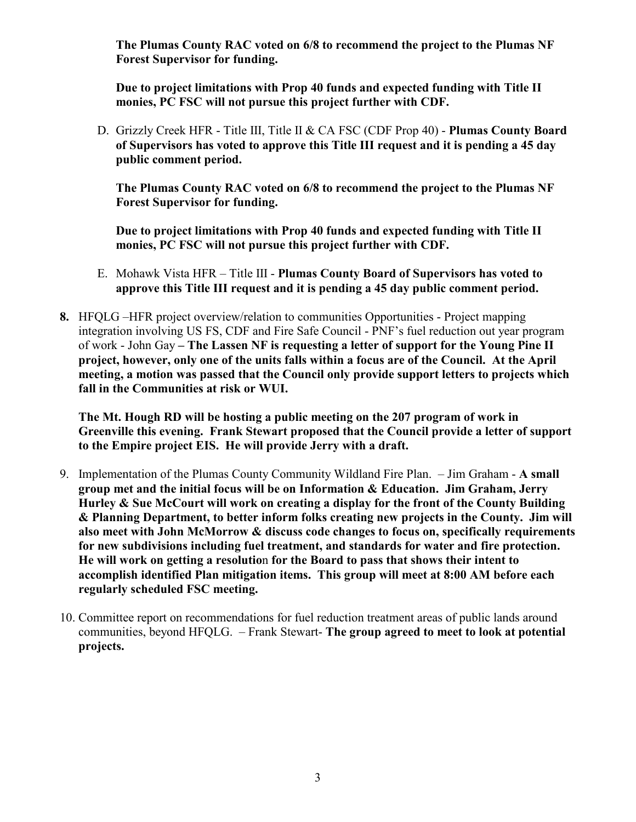The Plumas County RAC voted on 6/8 to recommend the project to the Plumas NF Forest Supervisor for funding.

Due to project limitations with Prop 40 funds and expected funding with Title II monies, PC FSC will not pursue this project further with CDF.

D. Grizzly Creek HFR - Title III, Title II & CA FSC (CDF Prop 40) - Plumas County Board of Supervisors has voted to approve this Title III request and it is pending a 45 day public comment period.

The Plumas County RAC voted on 6/8 to recommend the project to the Plumas NF Forest Supervisor for funding.

Due to project limitations with Prop 40 funds and expected funding with Title II monies, PC FSC will not pursue this project further with CDF.

- E. Mohawk Vista HFR Title III Plumas County Board of Supervisors has voted to approve this Title III request and it is pending a 45 day public comment period.
- 8. HFQLG –HFR project overview/relation to communities Opportunities Project mapping integration involving US FS, CDF and Fire Safe Council - PNF's fuel reduction out year program of work - John Gay – The Lassen NF is requesting a letter of support for the Young Pine II project, however, only one of the units falls within a focus are of the Council. At the April meeting, a motion was passed that the Council only provide support letters to projects which fall in the Communities at risk or WUI.

The Mt. Hough RD will be hosting a public meeting on the 207 program of work in Greenville this evening. Frank Stewart proposed that the Council provide a letter of support to the Empire project EIS. He will provide Jerry with a draft.

- 9. Implementation of the Plumas County Community Wildland Fire Plan. Jim Graham A small group met and the initial focus will be on Information & Education. Jim Graham, Jerry Hurley & Sue McCourt will work on creating a display for the front of the County Building & Planning Department, to better inform folks creating new projects in the County. Jim will also meet with John McMorrow & discuss code changes to focus on, specifically requirements for new subdivisions including fuel treatment, and standards for water and fire protection. He will work on getting a resolution for the Board to pass that shows their intent to accomplish identified Plan mitigation items. This group will meet at 8:00 AM before each regularly scheduled FSC meeting.
- 10. Committee report on recommendations for fuel reduction treatment areas of public lands around communities, beyond HFQLG. – Frank Stewart- The group agreed to meet to look at potential projects.